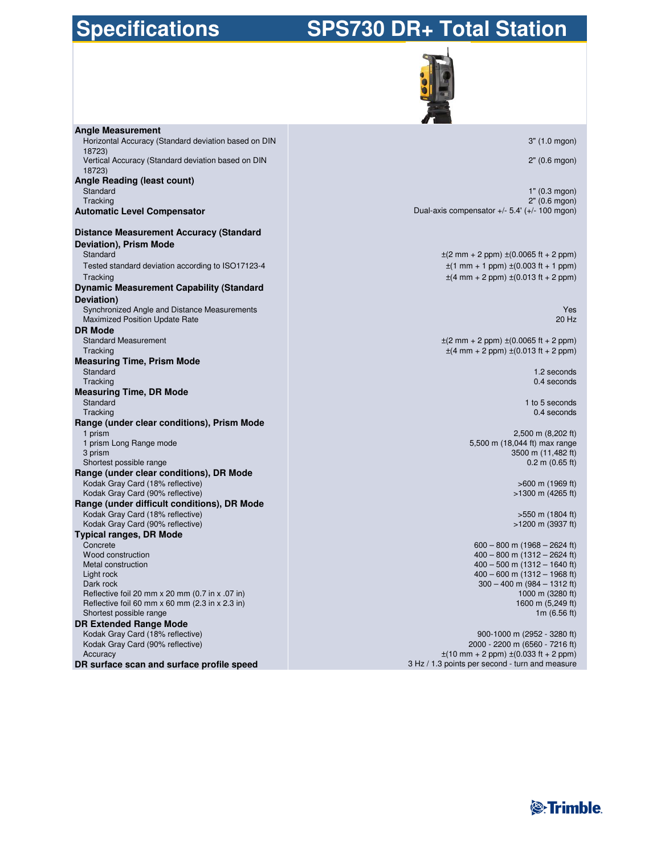# **Specifications**

# **SPS730 DR+ Total Station**



| <b>Angle Measurement</b>                                                       |                                                                            |
|--------------------------------------------------------------------------------|----------------------------------------------------------------------------|
| Horizontal Accuracy (Standard deviation based on DIN                           | 3" (1.0 mgon)                                                              |
| 18723)                                                                         |                                                                            |
| Vertical Accuracy (Standard deviation based on DIN                             | 2" (0.6 mgon)                                                              |
| 18723)                                                                         |                                                                            |
| <b>Angle Reading (least count)</b>                                             |                                                                            |
| Standard                                                                       | 1" (0.3 mgon)                                                              |
| Tracking                                                                       | 2" (0.6 mgon)<br>Dual-axis compensator $+/- 5.4' (+/- 100$ mgon)           |
| <b>Automatic Level Compensator</b>                                             |                                                                            |
| <b>Distance Measurement Accuracy (Standard</b>                                 |                                                                            |
| Deviation), Prism Mode                                                         |                                                                            |
| Standard                                                                       | $\pm$ (2 mm + 2 ppm) $\pm$ (0.0065 ft + 2 ppm)                             |
| Tested standard deviation according to ISO17123-4                              | $\pm$ (1 mm + 1 ppm) $\pm$ (0.003 ft + 1 ppm)                              |
| Tracking                                                                       | $\pm$ (4 mm + 2 ppm) $\pm$ (0.013 ft + 2 ppm)                              |
| <b>Dynamic Measurement Capability (Standard</b>                                |                                                                            |
| Deviation)                                                                     |                                                                            |
| Synchronized Angle and Distance Measurements                                   | Yes                                                                        |
| <b>Maximized Position Update Rate</b>                                          | 20 Hz                                                                      |
| <b>DR Mode</b>                                                                 |                                                                            |
| <b>Standard Measurement</b>                                                    | $\pm$ (2 mm + 2 ppm) $\pm$ (0.0065 ft + 2 ppm)                             |
| Tracking                                                                       | $\pm$ (4 mm + 2 ppm) $\pm$ (0.013 ft + 2 ppm)                              |
| <b>Measuring Time, Prism Mode</b>                                              |                                                                            |
| Standard                                                                       | 1.2 seconds                                                                |
| Tracking                                                                       | 0.4 seconds                                                                |
| <b>Measuring Time, DR Mode</b>                                                 |                                                                            |
| Standard<br>Tracking                                                           | 1 to 5 seconds<br>$0.4$ seconds                                            |
| Range (under clear conditions), Prism Mode                                     |                                                                            |
| 1 prism                                                                        | 2,500 m (8,202 ft)                                                         |
| 1 prism Long Range mode                                                        | 5,500 m (18,044 ft) max range                                              |
| 3 prism                                                                        | 3500 m (11,482 ft)                                                         |
| Shortest possible range                                                        | $0.2$ m $(0.65$ ft)                                                        |
| Range (under clear conditions), DR Mode                                        |                                                                            |
| Kodak Gray Card (18% reflective)                                               | $>600$ m (1969 ft)                                                         |
| Kodak Gray Card (90% reflective)                                               | $>1300$ m (4265 ft)                                                        |
| Range (under difficult conditions), DR Mode                                    |                                                                            |
| Kodak Gray Card (18% reflective)<br>Kodak Gray Card (90% reflective)           | >550 m (1804 ft)<br>>1200 m (3937 ft)                                      |
| <b>Typical ranges, DR Mode</b>                                                 |                                                                            |
| Concrete                                                                       | $600 - 800$ m $(1968 - 2624$ ft)                                           |
| Wood construction                                                              | $400 - 800$ m $(1312 - 2624$ ft)                                           |
| Metal construction                                                             | $400 - 500$ m $(1312 - 1640$ ft)                                           |
| Light rock                                                                     | $400 - 600$ m $(1312 - 1968$ ft)                                           |
| Dark rock                                                                      | $300 - 400$ m $(984 - 1312$ ft)                                            |
| Reflective foil 20 mm x 20 mm (0.7 in x .07 in)                                | 1000 m (3280 ft)                                                           |
| Reflective foil 60 mm $x$ 60 mm (2.3 in $x$ 2.3 in)<br>Shortest possible range | 1600 m (5,249 ft)                                                          |
| <b>DR Extended Range Mode</b>                                                  | 1m $(6.56 \text{ ft})$                                                     |
| Kodak Gray Card (18% reflective)                                               | 900-1000 m (2952 - 3280 ft)                                                |
| Kodak Gray Card (90% reflective)                                               | 2000 - 2200 m (6560 - 7216 ft)                                             |
| Accuracy                                                                       | $\pm(10 \text{ mm} + 2 \text{ ppm}) \pm(0.033 \text{ ft} + 2 \text{ ppm})$ |
| DR surface scan and surface profile speed                                      | 3 Hz / 1.3 points per second - turn and measure                            |

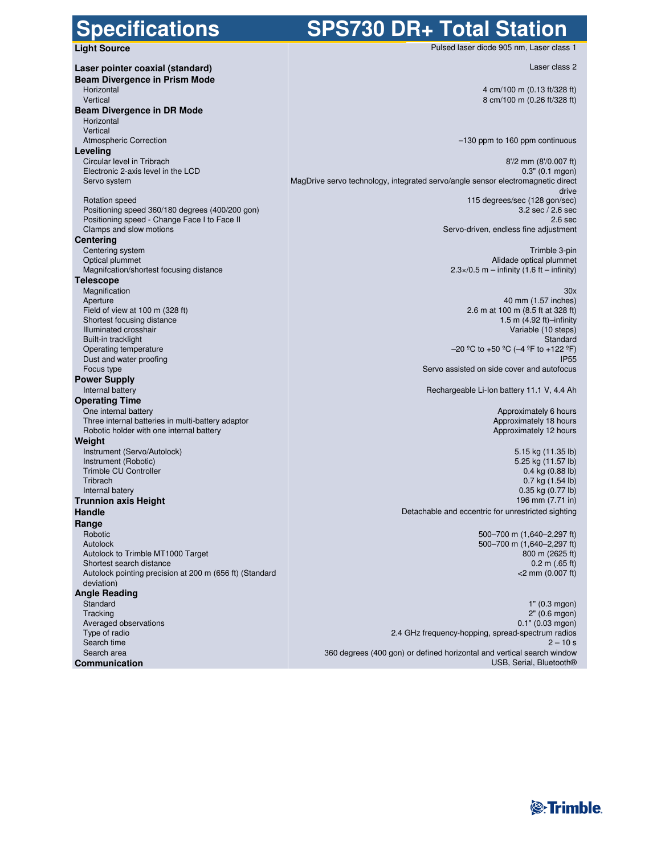### **Specifications**

## **SPS730 DR+ Total Station**

**Light Source**

| Laser pointer coaxial (standard)                                 |                                                            |
|------------------------------------------------------------------|------------------------------------------------------------|
| <b>Beam Divergence in Prism Mode</b>                             |                                                            |
| Horizontal                                                       | $4 \text{ cm}$                                             |
| Vertical                                                         | 8 cm/                                                      |
| Beam Divergence in DR Mode                                       |                                                            |
| Horizontal                                                       |                                                            |
| Vertical                                                         |                                                            |
| <b>Atmospheric Correction</b>                                    | $-130$ ppm to                                              |
| Leveling                                                         |                                                            |
| Circular level in Tribrach<br>Electronic 2-axis level in the LCD |                                                            |
| Servo system                                                     | MagDrive servo technology, integrated servo/angle sensor e |
|                                                                  |                                                            |
| <b>Rotation speed</b>                                            | 115 degre                                                  |
| Positioning speed 360/180 degrees (400/200 gon)                  |                                                            |
| Positioning speed - Change Face I to Face II                     |                                                            |
| Clamps and slow motions                                          | Servo-driven, en                                           |
| Centering                                                        |                                                            |
| Centering system<br>Optical plummet                              | Alio                                                       |
| Magnifcation/shortest focusing distance                          | $2.3 \times 0.5$ m – in                                    |
| <b>Telescope</b>                                                 |                                                            |
| Magnification                                                    |                                                            |
| Aperture                                                         |                                                            |
| Field of view at 100 m $(328 ft)$                                | 2.6 m at 1                                                 |
| Shortest focusing distance                                       |                                                            |
| Illuminated crosshair                                            |                                                            |
| Built-in tracklight                                              | $-20$ °C to +50                                            |
| Operating temperature<br>Dust and water proofing                 |                                                            |
| Focus type                                                       | Servo assisted on side                                     |
| <b>Power Supply</b>                                              |                                                            |
| Internal battery                                                 | Rechargeable Li-Ion b                                      |
| <b>Operating Time</b>                                            |                                                            |
| One internal battery                                             | А                                                          |
| Three internal batteries in multi-battery adaptor                | Ap                                                         |
| Robotic holder with one internal battery                         | Ap                                                         |
| Weight                                                           |                                                            |
| Instrument (Servo/Autolock)                                      |                                                            |
| Instrument (Robotic)<br><b>Trimble CU Controller</b>             |                                                            |
| Tribrach                                                         |                                                            |
| Internal batery                                                  |                                                            |
| <b>Trunnion axis Height</b>                                      |                                                            |
| Handle                                                           | Detachable and eccentric for                               |
| Range                                                            |                                                            |
| Robotic                                                          | $500 - 70$                                                 |
| Autolock                                                         | $500 - 70$                                                 |
| Autolock to Trimble MT1000 Target                                |                                                            |
| Shortest search distance                                         |                                                            |
| Autolock pointing precision at 200 m (656 ft) (Standard          |                                                            |
| deviation)                                                       |                                                            |
| <b>Angle Reading</b><br>Standard                                 |                                                            |
| Tracking                                                         |                                                            |
| Averaged observations                                            |                                                            |
| Type of radio                                                    | 2.4 GHz frequency-hopping, spr                             |
| Search time                                                      |                                                            |
| Search area                                                      | 360 degrees (400 gon) or defined horizontal and ve         |
| Communication                                                    | US                                                         |

Laser class 2

4 cm/100 m (0.13 ft/328 ft) 100 m (0.26 ft/328 ft)

160 ppm continuous

Pulsed laser diode 905 nm, Laser class 1

8'/2 mm (8'/0.007 ft) 0.3" (0.1 mgon) lectromagnetic direct drive es/sec (128 gon/sec) 3.2 sec / 2.6 sec 2.6 sec dless fine adjustment

> Trimble 3-pin dade optical plummet  $2.6$  ft – infinity)

#### 30x

40 mm (1.57 inches) 00 m (8.5 ft at 328 ft) 1.5 m (4.92 ft)–infinity Variable (10 steps) Standard  $^{\circ}$ C (-4  $^{\circ}$ F to +122  $^{\circ}$ F) IP55 cover and autofocus

battery 11.1 V, 4.4 Ah

 Approximately 6 hours proximately 18 hours proximately 12 hours

5.15 kg (11.35 lb) 5.25 kg (11.57 lb) 0.4 kg (0.88 lb) 0.7 kg (1.54 lb) 0.35 kg (0.77 lb) 196 mm (7.71 in) unrestricted sighting

> 500–700 m (1,640–2,297 ft) 00 m (1,640–2,297 ft) 800 m (2625 ft) 0.2 m (.65 ft) <2 mm (0.007 ft)

1" (0.3 mgon) 2" (0.6 mgon) 0.1" (0.03 mgon) ead-spectrum radios  $2 - 10 s$ ertical search window USB, Serial, Bluetooth®